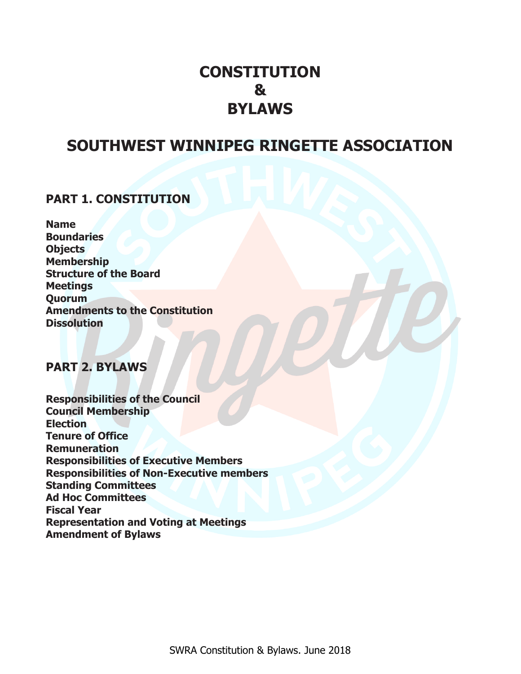# **CONSTITUTION & BYLAWS**

# **SOUTHWEST WINNIPEG RINGETTE ASSOCIATION**

## **PART 1. CONSTITUTION**

**Name Boundaries Objects Membership Structure of the Board Meetings Quorum Amendments to the Constitution Dissolution**

### **PART 2. BYLAWS**

**Responsibilities of the Council Council Membership Election Tenure of Office Remuneration Responsibilities of Executive Members Responsibilities of Non-Executive members Standing Committees Ad Hoc Committees Fiscal Year Representation and Voting at Meetings Amendment of Bylaws**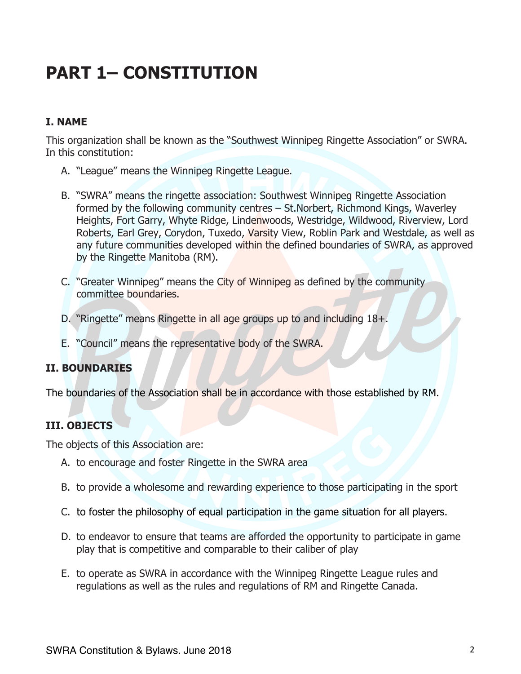# **PART 1– CONSTITUTION**

#### **I. NAME**

This organization shall be known as the "Southwest Winnipeg Ringette Association" or SWRA. In this constitution:

- A. "League" means the Winnipeg Ringette League.
- B. "SWRA" means the ringette association: Southwest Winnipeg Ringette Association formed by the following community centres – St.Norbert, Richmond Kings, Waverley Heights, Fort Garry, Whyte Ridge, Lindenwoods, Westridge, Wildwood, Riverview, Lord Roberts, Earl Grey, Corydon, Tuxedo, Varsity View, Roblin Park and Westdale, as well as any future communities developed within the defined boundaries of SWRA, as approved by the Ringette Manitoba (RM).
- C. "Greater Winnipeg" means the City of Winnipeg as defined by the community committee boundaries.
- D. "Ringette" means Ringette in all age groups up to and including 18+.
- E. "Council" means the representative body of the SWRA.

#### **II. BOUNDARIES**

The boundaries of the Association shall be in accordance with those established by RM.

#### **III. OBJECTS**

The objects of this Association are:

- A. to encourage and foster Ringette in the SWRA area
- B. to provide a wholesome and rewarding experience to those participating in the sport
- C. to foster the philosophy of equal participation in the game situation for all players.
- D. to endeavor to ensure that teams are afforded the opportunity to participate in game play that is competitive and comparable to their caliber of play
- E. to operate as SWRA in accordance with the Winnipeg Ringette League rules and regulations as well as the rules and regulations of RM and Ringette Canada.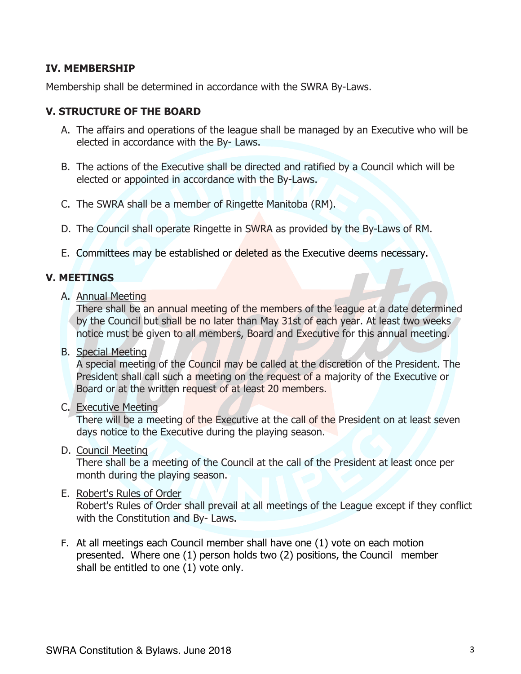#### **IV. MEMBERSHIP**

Membership shall be determined in accordance with the SWRA By-Laws.

#### **V. STRUCTURE OF THE BOARD**

- A. The affairs and operations of the league shall be managed by an Executive who will be elected in accordance with the By- Laws.
- B. The actions of the Executive shall be directed and ratified by a Council which will be elected or appointed in accordance with the By-Laws.
- C. The SWRA shall be a member of Ringette Manitoba (RM).
- D. The Council shall operate Ringette in SWRA as provided by the By-Laws of RM.
- E. Committees may be established or deleted as the Executive deems necessary.

### **V. MEETINGS**

A. Annual Meeting

There shall be an annual meeting of the members of the league at a date determined by the Council but shall be no later than May 31st of each year. At least two weeks notice must be given to all members, Board and Executive for this annual meeting.

B. Special Meeting

A special meeting of the Council may be called at the discretion of the President. The President shall call such a meeting on the request of a majority of the Executive or Board or at the written request of at least 20 members.

C. Executive Meeting

There will be a meeting of the Executive at the call of the President on at least seven days notice to the Executive during the playing season.

D. Council Meeting

There shall be a meeting of the Council at the call of the President at least once per month during the playing season.

#### E. Robert's Rules of Order

Robert's Rules of Order shall prevail at all meetings of the League except if they conflict with the Constitution and By- Laws.

F. At all meetings each Council member shall have one (1) vote on each motion presented. Where one (1) person holds two (2) positions, the Council member shall be entitled to one (1) vote only.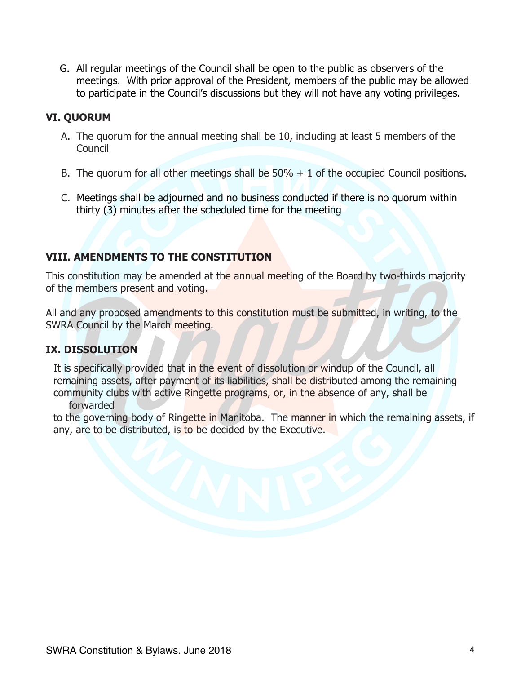G. All regular meetings of the Council shall be open to the public as observers of the meetings. With prior approval of the President, members of the public may be allowed to participate in the Council's discussions but they will not have any voting privileges.

#### **VI. QUORUM**

- A. The quorum for the annual meeting shall be 10, including at least 5 members of the Council
- B. The quorum for all other meetings shall be  $50\% + 1$  of the occupied Council positions.
- C. Meetings shall be adjourned and no business conducted if there is no quorum within thirty (3) minutes after the scheduled time for the meeting

#### **VIII. AMENDMENTS TO THE CONSTITUTION**

This constitution may be amended at the annual meeting of the Board by two-thirds majority of the members present and voting.

All and any proposed amendments to this constitution must be submitted, in writing, to the SWRA Council by the March meeting.

#### **IX. DISSOLUTION**

It is specifically provided that in the event of dissolution or windup of the Council, all remaining assets, after payment of its liabilities, shall be distributed among the remaining community clubs with active Ringette programs, or, in the absence of any, shall be forwarded

to the governing body of Ringette in Manitoba. The manner in which the remaining assets, if any, are to be distributed, is to be decided by the Executive.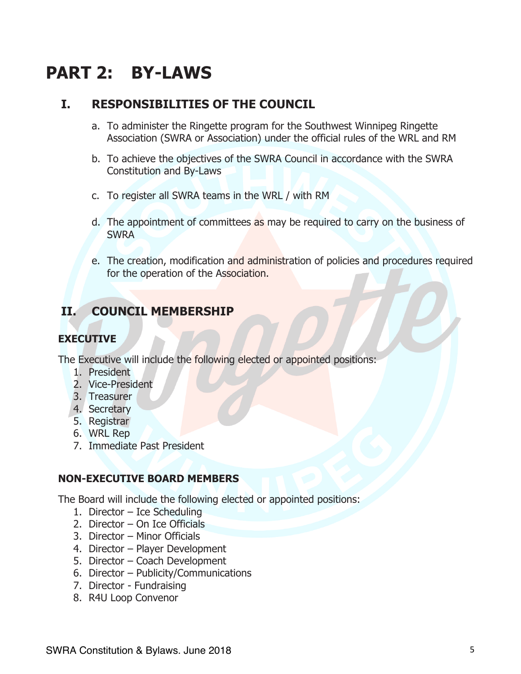# **PART 2: BY-LAWS**

## **I. RESPONSIBILITIES OF THE COUNCIL**

- a. To administer the Ringette program for the Southwest Winnipeg Ringette Association (SWRA or Association) under the official rules of the WRL and RM
- b. To achieve the objectives of the SWRA Council in accordance with the SWRA Constitution and By-Laws
- c. To register all SWRA teams in the WRL / with RM
- d. The appointment of committees as may be required to carry on the business of SWRA
- e. The creation, modification and administration of policies and procedures required for the operation of the Association.

# **II. COUNCIL MEMBERSHIP**

#### **EXECUTIVE**

The Executive will include the following elected or appointed positions:

- 1. President
- 2. Vice-President
- 3. Treasurer
- 4. Secretary
- 5. Registrar
- 6. WRL Rep
- 7. Immediate Past President

#### **NON-EXECUTIVE BOARD MEMBERS**

The Board will include the following elected or appointed positions:

- 1. Director Ice Scheduling
- 2. Director On Ice Officials
- 3. Director Minor Officials
- 4. Director Player Development
- 5. Director Coach Development
- 6. Director Publicity/Communications
- 7. Director Fundraising
- 8. R4U Loop Convenor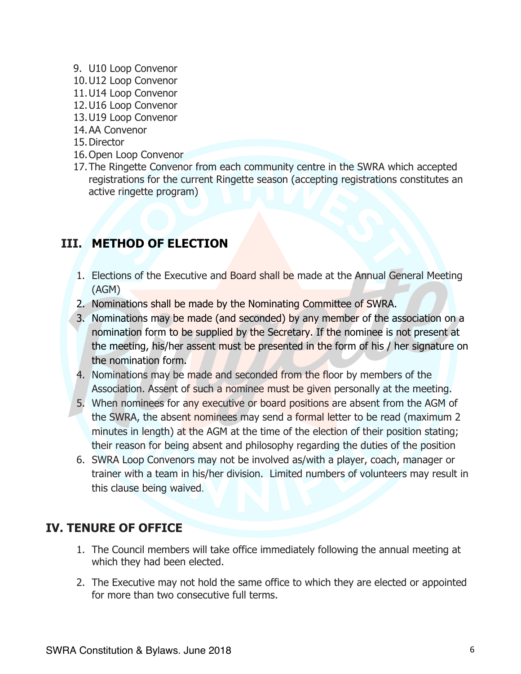- 9. U10 Loop Convenor
- 10.U12 Loop Convenor
- 11.U14 Loop Convenor
- 12.U16 Loop Convenor
- 13.U19 Loop Convenor
- 14.AA Convenor
- 15.Director
- 16.Open Loop Convenor
- 17.The Ringette Convenor from each community centre in the SWRA which accepted registrations for the current Ringette season (accepting registrations constitutes an active ringette program)

# **III. METHOD OF ELECTION**

- 1. Elections of the Executive and Board shall be made at the Annual General Meeting (AGM)
- 2. Nominations shall be made by the Nominating Committee of SWRA.
- 3. Nominations may be made (and seconded) by any member of the association on a nomination form to be supplied by the Secretary. If the nominee is not present at the meeting, his/her assent must be presented in the form of his / her signature on the nomination form.
- 4. Nominations may be made and seconded from the floor by members of the Association. Assent of such a nominee must be given personally at the meeting.
- 5. When nominees for any executive or board positions are absent from the AGM of the SWRA, the absent nominees may send a formal letter to be read (maximum 2 minutes in length) at the AGM at the time of the election of their position stating; their reason for being absent and philosophy regarding the duties of the position
- 6. SWRA Loop Convenors may not be involved as/with a player, coach, manager or trainer with a team in his/her division. Limited numbers of volunteers may result in this clause being waived.

# **IV. TENURE OF OFFICE**

- 1. The Council members will take office immediately following the annual meeting at which they had been elected.
- 2. The Executive may not hold the same office to which they are elected or appointed for more than two consecutive full terms.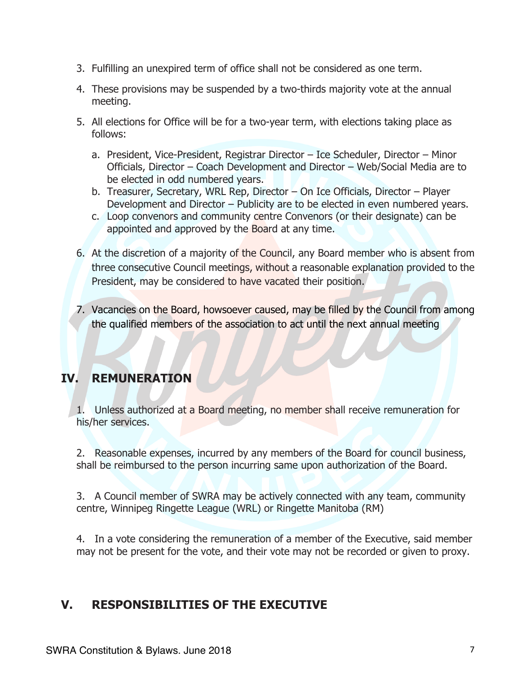- 3. Fulfilling an unexpired term of office shall not be considered as one term.
- 4. These provisions may be suspended by a two-thirds majority vote at the annual meeting.
- 5. All elections for Office will be for a two-year term, with elections taking place as follows:
	- a. President, Vice-President, Registrar Director Ice Scheduler, Director Minor Officials, Director – Coach Development and Director – Web/Social Media are to be elected in odd numbered years.
	- b. Treasurer, Secretary, WRL Rep, Director On Ice Officials, Director Player Development and Director – Publicity are to be elected in even numbered years.
	- c. Loop convenors and community centre Convenors (or their designate) can be appointed and approved by the Board at any time.
- 6. At the discretion of a majority of the Council, any Board member who is absent from three consecutive Council meetings, without a reasonable explanation provided to the President, may be considered to have vacated their position.
- 7. Vacancies on the Board, howsoever caused, may be filled by the Council from among the qualified members of the association to act until the next annual meeting

# **IV. REMUNERATION**

1. Unless authorized at a Board meeting, no member shall receive remuneration for his/her services.

2. Reasonable expenses, incurred by any members of the Board for council business, shall be reimbursed to the person incurring same upon authorization of the Board.

3. A Council member of SWRA may be actively connected with any team, community centre, Winnipeg Ringette League (WRL) or Ringette Manitoba (RM)

4. In a vote considering the remuneration of a member of the Executive, said member may not be present for the vote, and their vote may not be recorded or given to proxy.

# **V. RESPONSIBILITIES OF THE EXECUTIVE**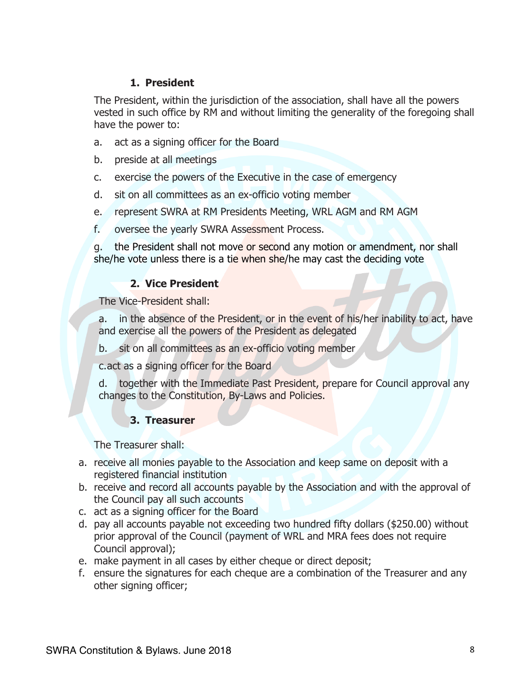#### **1. President**

The President, within the jurisdiction of the association, shall have all the powers vested in such office by RM and without limiting the generality of the foregoing shall have the power to:

- a. act as a signing officer for the Board
- b. preside at all meetings
- c. exercise the powers of the Executive in the case of emergency
- d. sit on all committees as an ex-officio voting member
- e. represent SWRA at RM Presidents Meeting, WRL AGM and RM AGM
- f. oversee the yearly SWRA Assessment Process.

g. the President shall not move or second any motion or amendment, nor shall she/he vote unless there is a tie when she/he may cast the deciding vote

#### **2. Vice President**

The Vice-President shall:

a. in the absence of the President, or in the event of his/her inability to act, have and exercise all the powers of the President as delegated

b. sit on all committees as an ex-officio voting member

c.act as a signing officer for the Board

d. together with the Immediate Past President, prepare for Council approval any changes to the Constitution, By-Laws and Policies.

#### **3. Treasurer**

The Treasurer shall:

- a. receive all monies payable to the Association and keep same on deposit with a registered financial institution
- b. receive and record all accounts payable by the Association and with the approval of the Council pay all such accounts
- c. act as a signing officer for the Board
- d. pay all accounts payable not exceeding two hundred fifty dollars (\$250.00) without prior approval of the Council (payment of WRL and MRA fees does not require Council approval);
- e. make payment in all cases by either cheque or direct deposit;
- f. ensure the signatures for each cheque are a combination of the Treasurer and any other signing officer;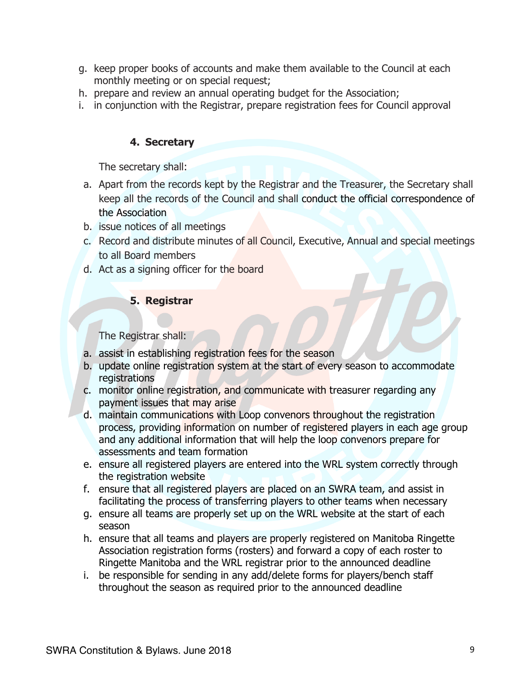- g. keep proper books of accounts and make them available to the Council at each monthly meeting or on special request;
- h. prepare and review an annual operating budget for the Association;
- i. in conjunction with the Registrar, prepare registration fees for Council approval

#### **4. Secretary**

The secretary shall:

- a. Apart from the records kept by the Registrar and the Treasurer, the Secretary shall keep all the records of the Council and shall conduct the official correspondence of the Association
- b. issue notices of all meetings
- c. Record and distribute minutes of all Council, Executive, Annual and special meetings to all Board members
- d. Act as a signing officer for the board

#### **5. Registrar**

The Registrar shall:

- a. assist in establishing registration fees for the season
- b. update online registration system at the start of every season to accommodate registrations
- c. monitor online registration, and communicate with treasurer regarding any payment issues that may arise
- d. maintain communications with Loop convenors throughout the registration process, providing information on number of registered players in each age group and any additional information that will help the loop convenors prepare for assessments and team formation
- e. ensure all registered players are entered into the WRL system correctly through the registration website
- f. ensure that all registered players are placed on an SWRA team, and assist in facilitating the process of transferring players to other teams when necessary
- g. ensure all teams are properly set up on the WRL website at the start of each season
- h. ensure that all teams and players are properly registered on Manitoba Ringette Association registration forms (rosters) and forward a copy of each roster to Ringette Manitoba and the WRL registrar prior to the announced deadline
- i. be responsible for sending in any add/delete forms for players/bench staff throughout the season as required prior to the announced deadline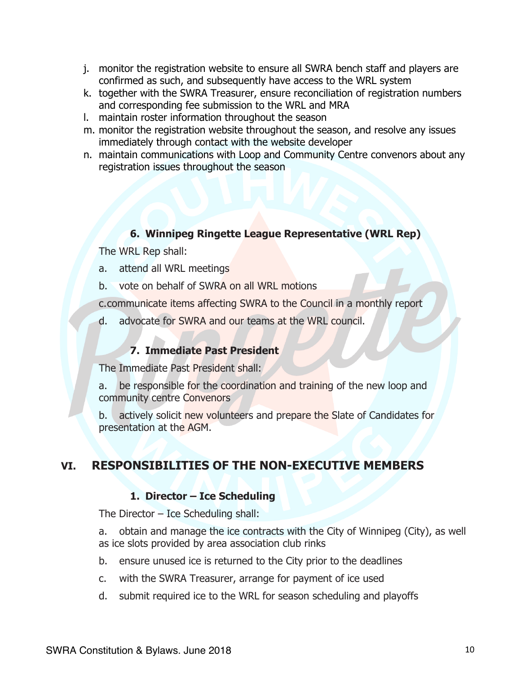- j. monitor the registration website to ensure all SWRA bench staff and players are confirmed as such, and subsequently have access to the WRL system
- k. together with the SWRA Treasurer, ensure reconciliation of registration numbers and corresponding fee submission to the WRL and MRA
- l. maintain roster information throughout the season
- m. monitor the registration website throughout the season, and resolve any issues immediately through contact with the website developer
- n. maintain communications with Loop and Community Centre convenors about any registration issues throughout the season

#### **6. Winnipeg Ringette League Representative (WRL Rep)**

The WRL Rep shall:

- a. attend all WRL meetings
- b. vote on behalf of SWRA on all WRL motions

c.communicate items affecting SWRA to the Council in a monthly report

d. advocate for SWRA and our teams at the WRL council.

#### **7. Immediate Past President**

The Immediate Past President shall:

a. be responsible for the coordination and training of the new loop and community centre Convenors

b. actively solicit new volunteers and prepare the Slate of Candidates for presentation at the AGM.

## **VI. RESPONSIBILITIES OF THE NON-EXECUTIVE MEMBERS**

#### **1. Director – Ice Scheduling**

The Director – Ice Scheduling shall:

a. obtain and manage the ice contracts with the City of Winnipeg (City), as well as ice slots provided by area association club rinks

- b. ensure unused ice is returned to the City prior to the deadlines
- c. with the SWRA Treasurer, arrange for payment of ice used
- d. submit required ice to the WRL for season scheduling and playoffs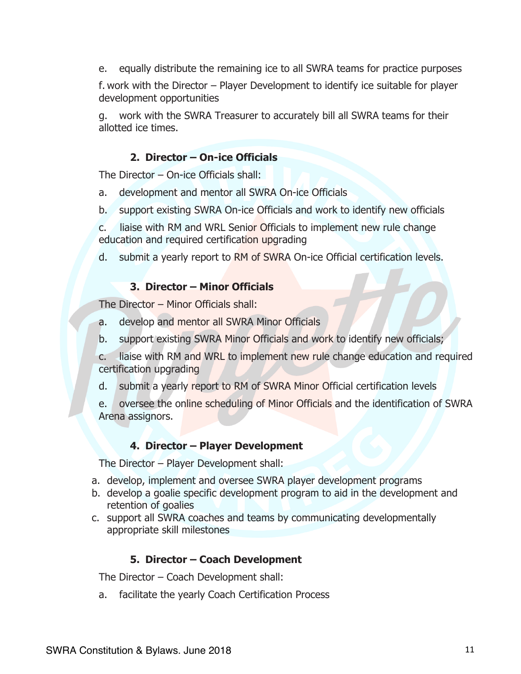e. equally distribute the remaining ice to all SWRA teams for practice purposes

f. work with the Director – Player Development to identify ice suitable for player development opportunities

g. work with the SWRA Treasurer to accurately bill all SWRA teams for their allotted ice times.

#### **2. Director – On-ice Officials**

The Director – On-ice Officials shall:

- a. development and mentor all SWRA On-ice Officials
- b. support existing SWRA On-ice Officials and work to identify new officials

c. liaise with RM and WRL Senior Officials to implement new rule change education and required certification upgrading

d. submit a yearly report to RM of SWRA On-ice Official certification levels.

#### **3. Director – Minor Officials**

The Director – Minor Officials shall:

- a. develop and mentor all SWRA Minor Officials
- b. support existing SWRA Minor Officials and work to identify new officials;
- c. liaise with RM and WRL to implement new rule change education and required certification upgrading
- d. submit a yearly report to RM of SWRA Minor Official certification levels

e. oversee the online scheduling of Minor Officials and the identification of SWRA Arena assignors.

#### **4. Director – Player Development**

The Director – Player Development shall:

- a. develop, implement and oversee SWRA player development programs
- b. develop a goalie specific development program to aid in the development and retention of goalies
- c. support all SWRA coaches and teams by communicating developmentally appropriate skill milestones

#### **5. Director – Coach Development**

The Director – Coach Development shall:

a. facilitate the yearly Coach Certification Process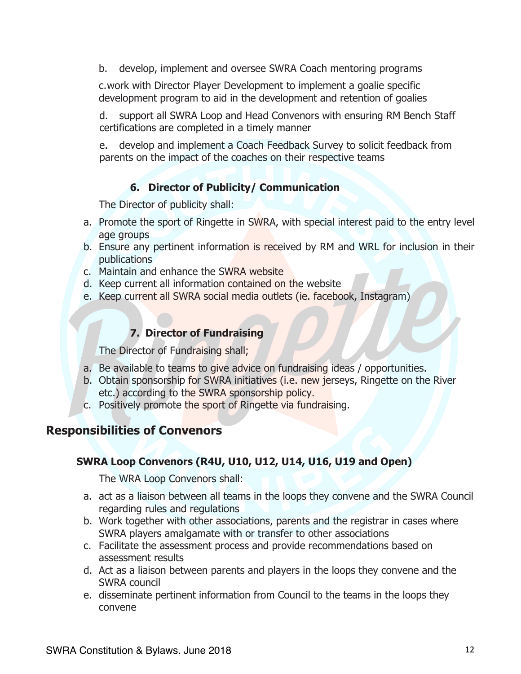b. develop, implement and oversee SWRA Coach mentoring programs

c.work with Director Player Development to implement a goalie specific development program to aid in the development and retention of goalies

d. support all SWRA Loop and Head Convenors with ensuring RM Bench Staff certifications are completed in a timely manner

e. develop and implement a Coach Feedback Survey to solicit feedback from parents on the impact of the coaches on their respective teams

#### **6. Director of Publicity/ Communication**

The Director of publicity shall:

- a. Promote the sport of Ringette in SWRA, with special interest paid to the entry level age groups
- b. Ensure any pertinent information is received by RM and WRL for inclusion in their publications
- c. Maintain and enhance the SWRA website
- d. Keep current all information contained on the website
- e. Keep current all SWRA social media outlets (ie. facebook, Instagram)

#### **7. Director of Fundraising**

The Director of Fundraising shall;

- a. Be available to teams to give advice on fundraising ideas / opportunities.
- b. Obtain sponsorship for SWRA initiatives (i.e. new jerseys, Ringette on the River etc.) according to the SWRA sponsorship policy.
- c. Positively promote the sport of Ringette via fundraising.

## **Responsibilities of Convenors**

#### **SWRA Loop Convenors (R4U, U10, U12, U14, U16, U19 and Open)**

The WRA Loop Convenors shall:

- a. act as a liaison between all teams in the loops they convene and the SWRA Council regarding rules and regulations
- b. Work together with other associations, parents and the registrar in cases where SWRA players amalgamate with or transfer to other associations
- c. Facilitate the assessment process and provide recommendations based on assessment results
- d. Act as a liaison between parents and players in the loops they convene and the SWRA council
- e. disseminate pertinent information from Council to the teams in the loops they convene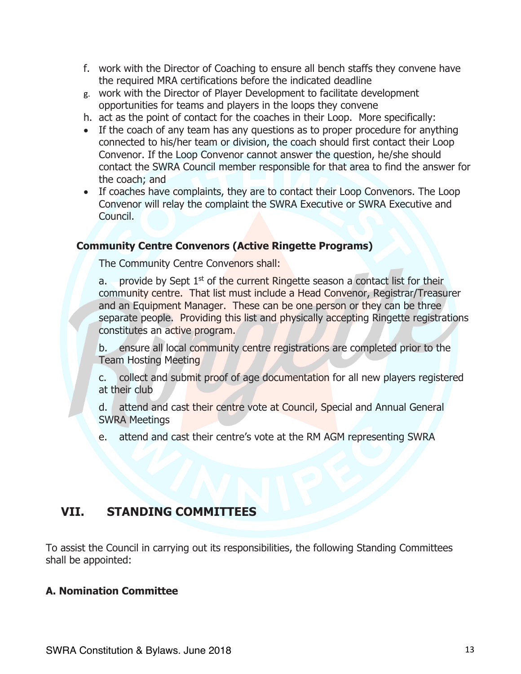- f. work with the Director of Coaching to ensure all bench staffs they convene have the required MRA certifications before the indicated deadline
- g. work with the Director of Player Development to facilitate development opportunities for teams and players in the loops they convene
- h. act as the point of contact for the coaches in their Loop. More specifically:
- If the coach of any team has any questions as to proper procedure for anything connected to his/her team or division, the coach should first contact their Loop Convenor. If the Loop Convenor cannot answer the question, he/she should contact the SWRA Council member responsible for that area to find the answer for the coach; and
- If coaches have complaints, they are to contact their Loop Convenors. The Loop Convenor will relay the complaint the SWRA Executive or SWRA Executive and Council.

#### **Community Centre Convenors (Active Ringette Programs)**

The Community Centre Convenors shall:

a. provide by Sept  $1<sup>st</sup>$  of the current Ringette season a contact list for their community centre. That list must include a Head Convenor, Registrar/Treasurer and an Equipment Manager. These can be one person or they can be three separate people. Providing this list and physically accepting Ringette registrations constitutes an active program.

b. ensure all local community centre registrations are completed prior to the Team Hosting Meeting

c. collect and submit proof of age documentation for all new players registered at their club

d. attend and cast their centre vote at Council, Special and Annual General SWRA Meetings

e. attend and cast their centre's vote at the RM AGM representing SWRA

# **VII. STANDING COMMITTEES**

To assist the Council in carrying out its responsibilities, the following Standing Committees shall be appointed:

#### **A. Nomination Committee**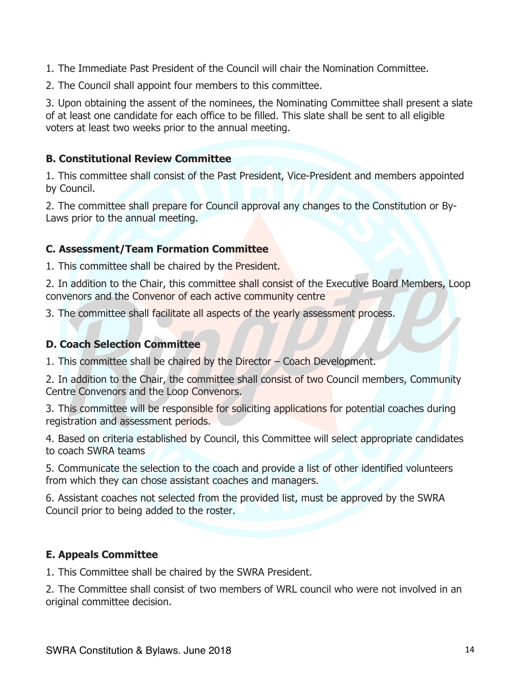1. The Immediate Past President of the Council will chair the Nomination Committee.

2. The Council shall appoint four members to this committee.

3. Upon obtaining the assent of the nominees, the Nominating Committee shall present a slate of at least one candidate for each office to be filled. This slate shall be sent to all eligible voters at least two weeks prior to the annual meeting.

#### **B. Constitutional Review Committee**

1. This committee shall consist of the Past President, Vice-President and members appointed by Council.

2. The committee shall prepare for Council approval any changes to the Constitution or By-Laws prior to the annual meeting.

#### **C. Assessment/Team Formation Committee**

1. This committee shall be chaired by the President.

2. In addition to the Chair, this committee shall consist of the Executive Board Members, Loop convenors and the Convenor of each active community centre

3. The committee shall facilitate all aspects of the yearly assessment process.

#### **D. Coach Selection Committee**

1. This committee shall be chaired by the Director – Coach Development.

2. In addition to the Chair, the committee shall consist of two Council members, Community Centre Convenors and the Loop Convenors.

3. This committee will be responsible for soliciting applications for potential coaches during registration and assessment periods.

4. Based on criteria established by Council, this Committee will select appropriate candidates to coach SWRA teams

5. Communicate the selection to the coach and provide a list of other identified volunteers from which they can chose assistant coaches and managers.

6. Assistant coaches not selected from the provided list, must be approved by the SWRA Council prior to being added to the roster.

#### **E. Appeals Committee**

1. This Committee shall be chaired by the SWRA President.

2. The Committee shall consist of two members of WRL council who were not involved in an original committee decision.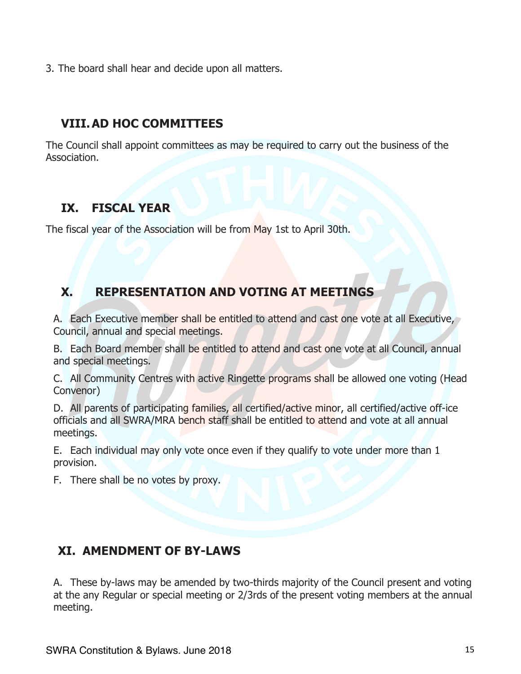3. The board shall hear and decide upon all matters.

# **VIII.AD HOC COMMITTEES**

The Council shall appoint committees as may be required to carry out the business of the Association.

# **IX. FISCAL YEAR**

The fiscal year of the Association will be from May 1st to April 30th.

# **X. REPRESENTATION AND VOTING AT MEETINGS**

A. Each Executive member shall be entitled to attend and cast one vote at all Executive, Council, annual and special meetings.

B. Each Board member shall be entitled to attend and cast one vote at all Council, annual and special meetings.

C. All Community Centres with active Ringette programs shall be allowed one voting (Head Convenor)

D. All parents of participating families, all certified/active minor, all certified/active off-ice officials and all SWRA/MRA bench staff shall be entitled to attend and vote at all annual meetings.

E. Each individual may only vote once even if they qualify to vote under more than 1 provision.

F. There shall be no votes by proxy.

# **XI. AMENDMENT OF BY-LAWS**

A. These by-laws may be amended by two-thirds majority of the Council present and voting at the any Regular or special meeting or 2/3rds of the present voting members at the annual meeting.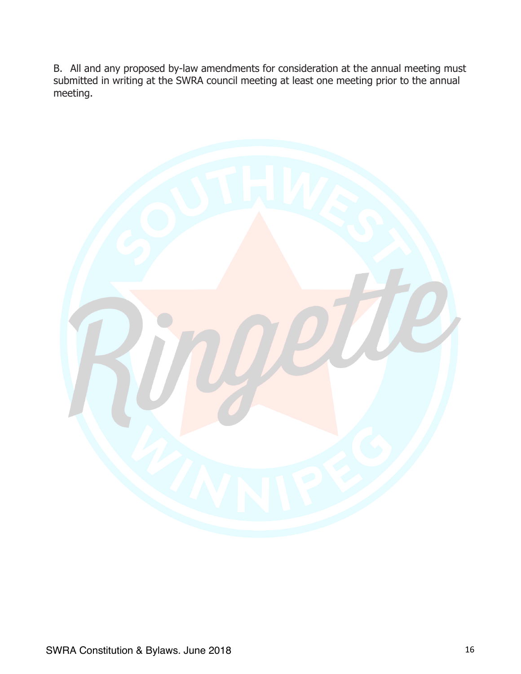B. All and any proposed by-law amendments for consideration at the annual meeting must submitted in writing at the SWRA council meeting at least one meeting prior to the annual meeting.